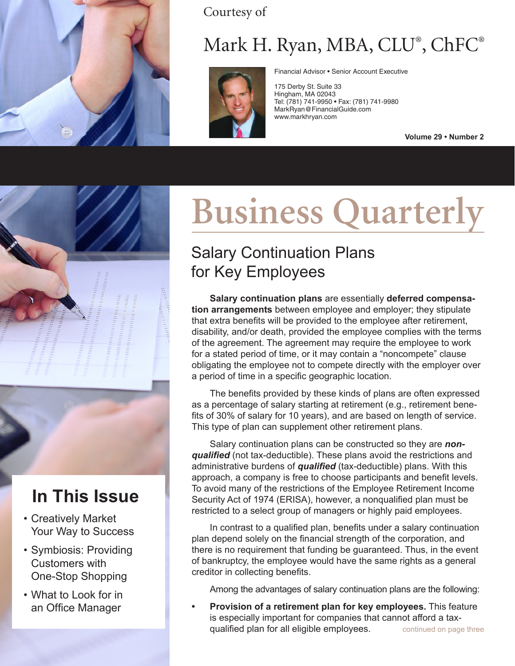

Courtesy of

## Mark H. Ryan, MBA, CLU® , ChFC®



Financial Advisor • Senior Account Executive

175 Derby St. Suite 33 Hingham, MA 02043 Tel: (781) 741-9950 • Fax: (781) 741-9980 MarkRyan@FinancialGuide.com www.markhryan.com

**Volume 29 • Number 2**



### **In This Issue**

- Creatively Market Your Way to Success
- Symbiosis: Providing Customers with One-Stop Shopping
- What to Look for in an Office Manager

# **Business Quarterly**

#### Salary Continuation Plans for Key Employees

**Salary continuation plans** are essentially **deferred compensation arrangements** between employee and employer; they stipulate that extra benefits will be provided to the employee after retirement, disability, and/or death, provided the employee complies with the terms of the agreement. The agreement may require the employee to work for a stated period of time, or it may contain a "noncompete" clause obligating the employee not to compete directly with the employer over a period of time in a specific geographic location.

The benefits provided by these kinds of plans are often expressed as a percentage of salary starting at retirement (e.g., retirement benefits of 30% of salary for 10 years), and are based on length of service. This type of plan can supplement other retirement plans.

Salary continuation plans can be constructed so they are *nonqualified* (not tax-deductible). These plans avoid the restrictions and administrative burdens of *qualified* (tax-deductible) plans. With this approach, a company is free to choose participants and benefit levels. To avoid many of the restrictions of the Employee Retirement Income Security Act of 1974 (ERISA), however, a nonqualified plan must be restricted to a select group of managers or highly paid employees.

In contrast to a qualified plan, benefits under a salary continuation plan depend solely on the financial strength of the corporation, and there is no requirement that funding be guaranteed. Thus, in the event of bankruptcy, the employee would have the same rights as a general creditor in collecting benefits.

Among the advantages of salary continuation plans are the following:

continued on page three **• Provision of a retirement plan for key employees.** This feature is especially important for companies that cannot afford a taxqualified plan for all eligible employees.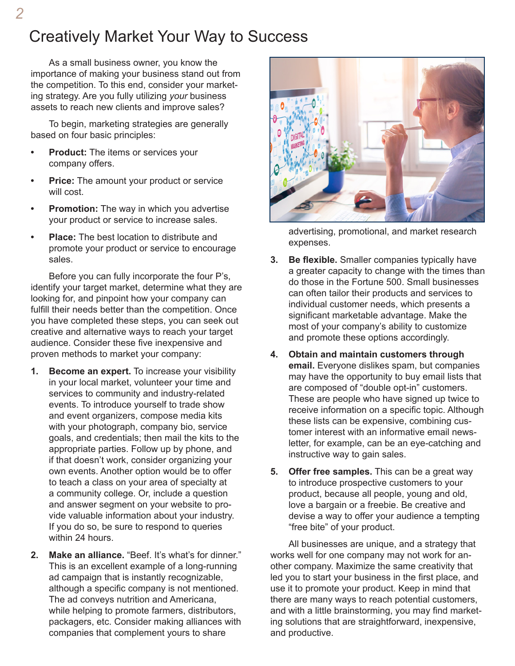#### Creatively Market Your Way to Success

As a small business owner, you know the importance of making your business stand out from the competition. To this end, consider your marketing strategy. Are you fully utilizing *your* business assets to reach new clients and improve sales?

To begin, marketing strategies are generally based on four basic principles:

- **• Product:** The items or services your company offers.
- **• Price:** The amount your product or service will cost.
- **• Promotion:** The way in which you advertise your product or service to increase sales.
- **• Place:** The best location to distribute and promote your product or service to encourage sales.

Before you can fully incorporate the four P's, identify your target market, determine what they are looking for, and pinpoint how your company can fulfill their needs better than the competition. Once you have completed these steps, you can seek out creative and alternative ways to reach your target audience. Consider these five inexpensive and proven methods to market your company:

- **1. Become an expert.** To increase your visibility in your local market, volunteer your time and services to community and industry-related events. To introduce yourself to trade show and event organizers, compose media kits with your photograph, company bio, service goals, and credentials; then mail the kits to the appropriate parties. Follow up by phone, and if that doesn't work, consider organizing your own events. Another option would be to offer to teach a class on your area of specialty at a community college. Or, include a question and answer segment on your website to provide valuable information about your industry. If you do so, be sure to respond to queries within 24 hours.
- **2. Make an alliance.** "Beef. It's what's for dinner." This is an excellent example of a long-running ad campaign that is instantly recognizable, although a specific company is not mentioned. The ad conveys nutrition and Americana, while helping to promote farmers, distributors, packagers, etc. Consider making alliances with companies that complement yours to share



advertising, promotional, and market research expenses.

- **3. Be flexible.** Smaller companies typically have a greater capacity to change with the times than do those in the Fortune 500. Small businesses can often tailor their products and services to individual customer needs, which presents a significant marketable advantage. Make the most of your company's ability to customize and promote these options accordingly.
- **4. Obtain and maintain customers through email.** Everyone dislikes spam, but companies may have the opportunity to buy email lists that are composed of "double opt-in" customers. These are people who have signed up twice to receive information on a specific topic. Although these lists can be expensive, combining customer interest with an informative email newsletter, for example, can be an eye-catching and instructive way to gain sales.
- **5. Offer free samples.** This can be a great way to introduce prospective customers to your product, because all people, young and old, love a bargain or a freebie. Be creative and devise a way to offer your audience a tempting "free bite" of your product.

All businesses are unique, and a strategy that works well for one company may not work for another company. Maximize the same creativity that led you to start your business in the first place, and use it to promote your product. Keep in mind that there are many ways to reach potential customers, and with a little brainstorming, you may find marketing solutions that are straightforward, inexpensive, and productive.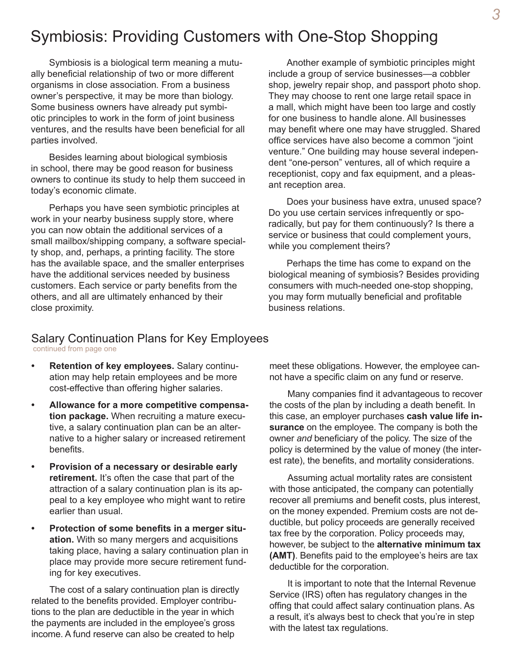#### Symbiosis: Providing Customers with One-Stop Shopping

Symbiosis is a biological term meaning a mutually beneficial relationship of two or more different organisms in close association*.* From a business owner's perspective*,* it may be more than biology. Some business owners have already put symbiotic principles to work in the form of joint business ventures, and the results have been beneficial for all parties involved.

Besides learning about biological symbiosis in school, there may be good reason for business owners to continue its study to help them succeed in today's economic climate.

Perhaps you have seen symbiotic principles at work in your nearby business supply store, where you can now obtain the additional services of a small mailbox/shipping company, a software specialty shop, and, perhaps, a printing facility. The store has the available space, and the smaller enterprises have the additional services needed by business customers. Each service or party benefits from the others, and all are ultimately enhanced by their close proximity.

Another example of symbiotic principles might include a group of service businesses—a cobbler shop, jewelry repair shop, and passport photo shop. They may choose to rent one large retail space in a mall, which might have been too large and costly for one business to handle alone. All businesses may benefit where one may have struggled. Shared office services have also become a common "joint venture." One building may house several independent "one-person" ventures, all of which require a receptionist, copy and fax equipment, and a pleasant reception area.

Does your business have extra, unused space? Do you use certain services infrequently or sporadically, but pay for them continuously? Is there a service or business that could complement yours, while you complement theirs?

Perhaps the time has come to expand on the biological meaning of symbiosis? Besides providing consumers with much-needed one-stop shopping, you may form mutually beneficial and profitable business relations.

#### Salary Continuation Plans for Key Employees continued from page one

- **Retention of key employees.** Salary continuation may help retain employees and be more cost-effective than offering higher salaries.
- **Allowance for a more competitive compensation package.** When recruiting a mature executive, a salary continuation plan can be an alternative to a higher salary or increased retirement benefits.
- **Provision of a necessary or desirable early retirement.** It's often the case that part of the attraction of a salary continuation plan is its appeal to a key employee who might want to retire earlier than usual.
- **Protection of some benefits in a merger situation.** With so many mergers and acquisitions taking place, having a salary continuation plan in place may provide more secure retirement funding for key executives.

The cost of a salary continuation plan is directly related to the benefits provided. Employer contributions to the plan are deductible in the year in which the payments are included in the employee's gross income. A fund reserve can also be created to help

meet these obligations. However, the employee cannot have a specific claim on any fund or reserve.

Many companies find it advantageous to recover the costs of the plan by including a death benefit. In this case, an employer purchases **cash value life insurance** on the employee. The company is both the owner *and* beneficiary of the policy. The size of the policy is determined by the value of money (the interest rate), the benefits, and mortality considerations.

Assuming actual mortality rates are consistent with those anticipated, the company can potentially recover all premiums and benefit costs, plus interest, on the money expended. Premium costs are not deductible, but policy proceeds are generally received tax free by the corporation. Policy proceeds may, however, be subject to the **alternative minimum tax (AMT)**. Benefits paid to the employee's heirs are tax deductible for the corporation.

It is important to note that the Internal Revenue Service (IRS) often has regulatory changes in the offing that could affect salary continuation plans. As a result, it's always best to check that you're in step with the latest tax regulations.